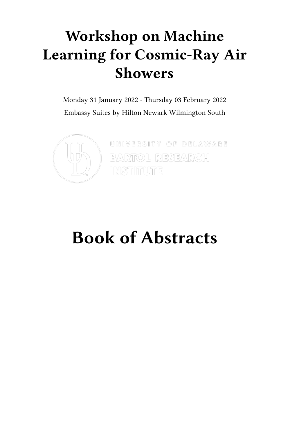## **Workshop on Machine Learning for Cosmic-Ray Air Showers**

Monday 31 January 2022 - Thursday 03 February 2022 Embassy Suites by Hilton Newark Wilmington South



 $[0.019988972] = [0.51089989882] = [0.01099888888] = [0.01099888888] = [0.01099888888] = [0.01099888888] = [0.01099888888] = [0.01099888888] = [0.010998888888] = [0.0109988888888] = [0.01099888888888] = [0.010998888888888] = [0.01099888888888888$ **BARTOL RESEARGH INSTITUTE** 

# **Book of Abstracts**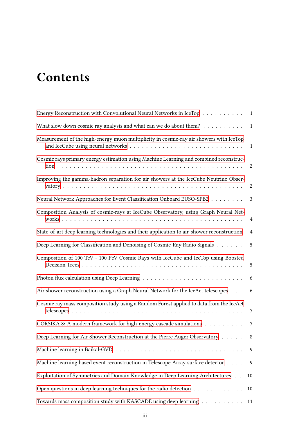## **Contents**

| Energy Reconstruction with Convolutional Neural Networks in IceTop 1                       |                |
|--------------------------------------------------------------------------------------------|----------------|
| What slow down cosmic ray analysis and what can we do about them?                          | $\mathbf{1}$   |
| Measurement of the high-energy muon multiplicity in cosmic-ray air showers with IceTop     | $\mathbf{1}$   |
| Cosmic rays primary energy estimation using Machine Learning and combined reconstruc-      | 2              |
| Improving the gamma-hadron separation for air showers at the IceCube Neutrino Obser-       | 2              |
| Neural Network Approaches for Event Classification Onboard EUSO-SPB2                       | 3              |
| Composition Analysis of cosmic-rays at IceCube Observatory, using Graph Neural Net-        | 4              |
| State-of-art deep learning technologies and their application to air-shower reconstruction | $\overline{4}$ |
| Deep Learning for Classification and Denoising of Cosmic-Ray Radio Signals                 | 5              |
| Composition of 100 TeV - 100 PeV Cosmic Rays with IceCube and IceTop using Boosted         | 5              |
|                                                                                            | 6              |
| Air shower reconstruction using a Graph Neural Network for the IceAct telescopes           | 6              |
| Cosmic ray mass composition study using a Random Forest applied to data from the IceAct    | 7              |
| CORSIKA 8: A modern framework for high-energy cascade simulations                          | 7              |
| Deep Learning for Air Shower Reconstruction at the Pierre Auger Observatory                | 8              |
|                                                                                            | 9              |
| Machine learning based event reconstruction in Telescope Array surface detector            | 9              |
| Exploitation of Symmetries and Domain Knowledge in Deep Learning Architectures             | 10             |
| Open questions in deep learning techniques for the radio detection                         | 10             |
| Towards mass composition study with KASCADE using deep learning $\dots \dots \dots$        | 11             |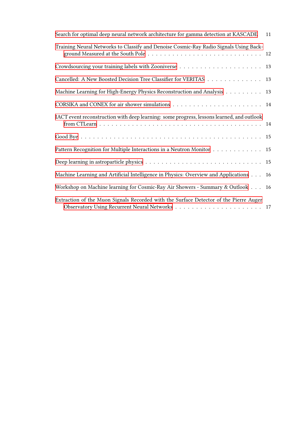| Search for optimal deep neural network architecture for gamma detection at KASCADE                   | 11 |
|------------------------------------------------------------------------------------------------------|----|
| Training Neural Networks to Classify and Denoise Cosmic-Ray Radio Signals Using Back-                |    |
|                                                                                                      |    |
| Cancelled: A New Boosted Decision Tree Classifier for VERITAS                                        | 13 |
| Machine Learning for High-Energy Physics Reconstruction and Analysis                                 | 13 |
| CORSIKA and CONEX for air shower simulations $\dots \dots \dots \dots \dots \dots \dots \dots \dots$ | 14 |
| IACT event reconstruction with deep learning: some progress, lessons learned, and outlook            |    |
|                                                                                                      |    |
| Pattern Recognition for Multiple Interactions in a Neutron Monitor                                   | 15 |
|                                                                                                      |    |
| Machine Learning and Artificial Intelligence in Physics: Overview and Applications                   | 16 |
| Workshop on Machine learning for Cosmic-Ray Air Showers - Summary & Outlook                          | 16 |
| Extraction of the Muon Signals Recorded with the Surface Detector of the Pierre Auger                |    |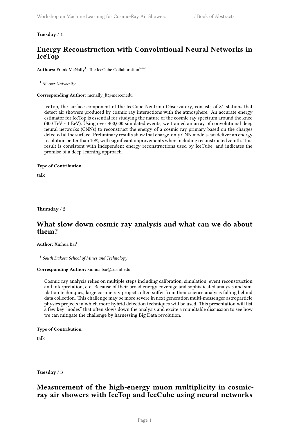<span id="page-4-0"></span>**Tuesday** / **1**

## **Energy Reconstruction with Convolutional Neural Networks in IceTop**

Authors: Frank McNally<sup>1</sup>; The IceCube Collaboration<sup>None</sup>

<sup>1</sup> *Mercer University*

**Corresponding Author:** mcnally\_ft@mercer.edu

IceTop, the surface component of the IceCube Neutrino Observatory, consists of 81 stations that detect air showers produced by cosmic ray interactions with the atmosphere. An accurate energy estimator for IceTop is essential for studying the nature of the cosmic ray spectrum around the knee (300 TeV - 1 EeV). Using over 400,000 simulated events, we trained an array of convolutional deep neural networks (CNNs) to reconstruct the energy of a cosmic ray primary based on the charges detected at the surface. Preliminary results show that charge-only CNN models can deliver an energy resolution better than 10%, with significant improvements when including reconstructed zenith. This result is consistent with independent energy reconstructions used by IceCube, and indicates the promise of a deep-learning approach.

#### **Type of Contribution**:

talk

<span id="page-4-1"></span>**Thursday** / **2**

## **What slow down cosmic ray analysis and what can we do about them?**

**Author:** Xinhua Bai<sup>1</sup>

1 *South Dakota School of Mines and Technology*

#### **Corresponding Author:** xinhua.bai@sdsmt.edu

Cosmic ray analysis relies on multiple steps including calibration, simulation, event reconstruction and interpretation, etc. Because of their broad energy coverage and sophisticated analysis and simulation techniques, large cosmic ray projects often suffer from their science analysis falling behind data collection. This challenge may be more severe in next generation multi-messenger astroparticle physics projects in which more hybrid detection techniques will be used. This presentation will list a few key "nodes" that often slows down the analysis and excite a roundtable discussion to see how we can mitigate the challenge by harnessing Big Data revolution.

#### **Type of Contribution**:

talk

<span id="page-4-2"></span>**Tuesday** / **3**

## **Measurement of the high-energy muon multiplicity in cosmicray air showers with IceTop and IceCube using neural networks**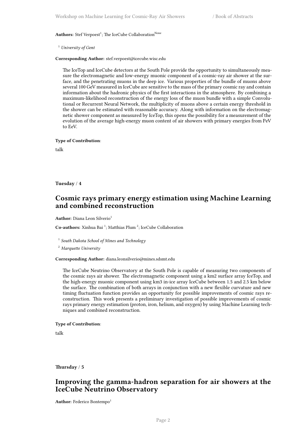#### Authors: Stef Verpoest<sup>1</sup>; The IceCube Collaboration<sup>None</sup>

<sup>1</sup> *University of Gent*

#### **Corresponding Author:** stef.verpoest@icecube.wisc.edu

The IceTop and IceCube detectors at the South Pole provide the opportunity to simultaneously measure the electromagnetic and low-energy muonic component of a cosmic-ray air shower at the surface, and the penetrating muons in the deep ice. Various properties of the bundle of muons above several 100 GeV measured in IceCube are sensitive to the mass of the primary cosmic ray and contain information about the hadronic physics of the first interactions in the atmosphere. By combining a maximum-likelihood reconstruction of the energy loss of the muon bundle with a simple Convolutional or Recurrent Neural Network, the multiplicity of muons above a certain energy threshold in the shower can be estimated with reasonable accuracy. Along with information on the electromagnetic shower component as measured by IceTop, this opens the possibility for a measurement of the evolution of the average high-energy muon content of air showers with primary energies from PeV to EeV.

#### **Type of Contribution**:

talk

<span id="page-5-0"></span>**Tuesday** / **4**

## **Cosmic rays primary energy estimation using Machine Learning and combined reconstruction**

**Author:** Diana Leon Silverio<sup>1</sup>

Co-authors: Xinhua Bai<sup>1</sup>; Matthias Plum<sup>2</sup>; IceCube Collaboration

1 *South Dakota School of Mines and Technology*

<sup>2</sup> *Marquette University*

#### **Corresponding Author:** diana.leonsilverio@mines.sdsmt.edu

The IceCube Neutrino Observatory at the South Pole is capable of measuring two components of the cosmic rays air shower. The electromagnetic component using a km2 surface array IceTop, and the high-energy muonic component using km3 in-ice array IceCube between 1.5 and 2.5 km below the surface. The combination of both arrays in conjunction with a new flexible curvature and new timing fluctuation function provides an opportunity for possible improvements of cosmic rays reconstruction. This work presents a preliminary investigation of possible improvements of cosmic rays primary energy estimation (proton, iron, helium, and oxygen) by using Machine Learning techniques and combined reconstruction.

#### **Type of Contribution**:

talk

<span id="page-5-1"></span>**Thursday** / **5**

## **Improving the gamma-hadron separation for air showers at the IceCube Neutrino Observatory**

**Author:** Federico Bontempo<sup>1</sup>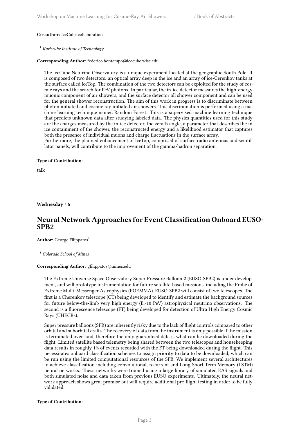#### **Co-author:** IceCube collaboration

#### <sup>1</sup> *Karlsruhe Institute of Technology*

#### **Corresponding Author:** federico.bontempo@icecube.wisc.edu

The IceCube Neutrino Observatory is a unique experiment located at the geographic South Pole. It is composed of two detectors: an optical array deep in the ice and an array of ice-Cerenkov tanks at the surface called IceTop. The combination of the two detectors can be exploited for the study of cosmic rays and the search for PeV photons. In particular, the in-ice detector measures the high-energy muonic component of air showers, and the surface detector all shower component and can be used for the general shower reconstruction. The aim of this work in progress is to discriminate between photon initiated and cosmic ray initiated air showers. This discrimination is performed using a machine learning technique named Random Forest. This is a supervised machine learning technique that predicts unknown data after studying labeled data. The physics quantities used for this study are the charges measured by the in-ice detector, the zenith angle, a parameter that describes the in ice containment of the shower, the reconstructed energy and a likelihood estimator that captures both the presence of individual muons and charge fluctuations in the surface array.

Furthermore, the planned enhancement of IceTop, comprised of surface radio antennas and scintillator panels, will contribute to the improvement of the gamma-hadron separation.

#### **Type of Contribution**:

talk

<span id="page-6-0"></span>**Wednesday** / **6**

## **Neural Network Approaches for Event Classification Onboard EUSO-SPB2**

Author: George Filippatos<sup>1</sup>

<sup>1</sup> *Colorado School of Mines*

#### **Corresponding Author:** gfilippatos@mines.edu

The Extreme Universe Space Observatory Super Pressure Balloon 2 (EUSO-SPB2) is under development, and will prototype instrumentation for future satellite-based missions, including the Probe of Extreme Multi-Messenger Astrophysics (POEMMA). EUSO-SPB2 will consist of two telescopes. The first is a Cherenkov telescope (CT) being developed to identify and estimate the background sources for future below-the-limb very high energy (E>10 PeV) astrophysical neutrino observations. The second is a fluorescence telescope (FT) being developed for detection of Ultra High Energy Cosmic Rays (UHECRs).

Super pressure balloons (SPB) are inherently risky due to the lack of flight controls compared to other orbital and suborbital crafts. The recovery of data from the instrument is only possible if the mission is terminated over land, therefore the only guaranteed data is what can be downloaded during the flight. Limited satellite based telemetry being shared between the two telescopes and housekeeping data results in roughly 1% of events recorded with the FT being downloaded during the flight. This necessitates onboard classification schemes to assign priority to data to be downloaded, which can be run using the limited computational resources of the SPB. We implement several architectures to achieve classification including convolutional, recurrent and Long Short Term Memory (LSTM) neural networks. These networks were trained using a large library of simulated EAS signals and both simulated noise and data taken from previous EUSO experiments. Ultimately, the neural network approach shows great promise but will require additional pre-flight testing in order to be fully validated.

#### **Type of Contribution**: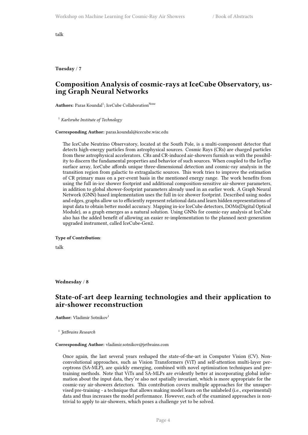talk

<span id="page-7-0"></span>**Tuesday** / **7**

## **Composition Analysis of cosmic-rays at IceCube Observatory, using Graph Neural Networks**

Authors: Paras Koundal<sup>1</sup>; IceCube Collaboration<sup>None</sup>

<sup>1</sup> *Karlsruhe Institute of Technology*

**Corresponding Author:** paras.koundal@icecube.wisc.edu

The IceCube Neutrino Observatory, located at the South Pole, is a multi-component detector that detects high-energy particles from astrophysical sources. Cosmic Rays (CRs) are charged particles from these astrophysical accelerators. CRs and CR-induced air-showers furnish us with the possibility to discern the fundamental properties and behavior of such sources. When coupled to the IceTop surface array, IceCube affords unique three-dimensional detection and cosmic-ray analysis in the transition region from galactic to extragalactic sources. This work tries to improve the estimation of CR primary mass on a per-event basis in the mentioned energy range. The work benefits from using the full in-ice shower footprint and additional composition-sensitive air-shower parameters, in addition to global shower-footprint parameters already used in an earlier work. A Graph Neural Network (GNN) based implementation uses the full in-ice shower footprint. Described using nodes and edges, graphs allow us to efficiently represent relational data and learn hidden representations of input data to obtain better model accuracy. Mapping in-ice IceCube detectors, DOMs(Digital Optical Module), as a graph emerges as a natural solution. Using GNNs for cosmic-ray analysis at IceCube also has the added benefit of allowing an easier re-implementation to the planned next-generation upgraded instrument, called IceCube-Gen2.

**Type of Contribution**:

talk

<span id="page-7-1"></span>**Wednesday** / **8**

## **State-of-art deep learning technologies and their application to air-shower reconstruction**

**Author:** Vladimir Sotnikov<sup>1</sup>

1 *JetBrains Research*

#### **Corresponding Author:** vladimir.sotnikov@jetbrains.com

Once again, the last several years reshaped the state-of-the-art in Computer Vision (CV). Nonconvolutional approaches, such as Vision Transformers (ViT) and self-attention multi-layer perceptrons (SA-MLP), are quickly emerging, combined with novel optimization techniques and pretraining methods. Note that ViTs and SA-MLPs are evidently better at incorporating global information about the input data, they're also not spatially invariant, which is more appropriate for the cosmic-ray air-showers detectors. This contribution covers multiple approaches for the unsupervised pre-training - a technique that allows making model learn on the unlabeled (i.e., experimental) data and thus increases the model performance. However, each of the examined approaches is nontrivial to apply to air-showers, which poses a challenge yet to be solved.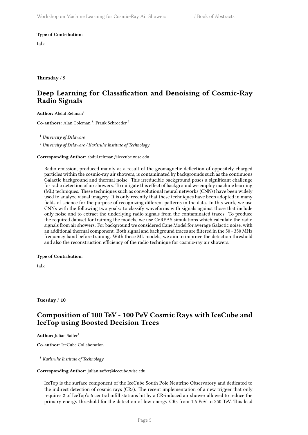**Type of Contribution**:

talk

<span id="page-8-0"></span>**Thursday** / **9**

## **Deep Learning for Classification and Denoising of Cosmic-Ray Radio Signals**

Author: Abdul Rehman<sup>1</sup>

Co-authors: Alan Coleman<sup>1</sup>; Frank Schroeder<sup>2</sup>

<sup>1</sup> *University of Delaware*

<sup>2</sup> *University of Delaware / Karlsruhe Institute of Technology*

**Corresponding Author:** abdul.rehman@icecube.wisc.edu

Radio emission, produced mainly as a result of the geomagnetic deflection of oppositely charged particles within the cosmic-ray air showers, is contaminated by backgrounds such as the continuous Galactic background and thermal noise. This irreducible background poses a significant challenge for radio detection of air showers. To mitigate this effect of background we employ machine learning (ML) techniques. These techniques such as convolutional neural networks (CNNs) have been widely used to analyze visual imagery. It is only recently that these techniques have been adopted in many fields of science for the purpose of recognizing different patterns in the data. In this work, we use CNNs with the following two goals: to classify waveforms with signals against those that include only noise and to extract the underlying radio signals from the contaminated traces. To produce the required dataset for training the models, we use CoREAS simulations which calculate the radio signals from air showers. For background we considered Cane Model for average Galactic noise, with an additional thermal component. Both signal and background traces are filtered in the 50 - 350 MHz frequency band before training. With these ML models, we aim to improve the detection threshold and also the reconstruction efficiency of the radio technique for cosmic-ray air showers.

#### **Type of Contribution**:

talk

<span id="page-8-1"></span>**Tuesday** / **10**

## **Composition of 100 TeV - 100 PeV Cosmic Rays with IceCube and IceTop using Boosted Decision Trees**

Author: Julian Saffer<sup>1</sup>

**Co-author:** IceCube Collaboration

<sup>1</sup> *Karlsruhe Institute of Technology*

#### **Corresponding Author:** julian.saffer@icecube.wisc.edu

IceTop is the surface component of the IceCube South Pole Neutrino Observatory and dedicated to the indirect detection of cosmic rays (CRs). The recent implementation of a new trigger that only requires 2 of IceTop's 6 central infill stations hit by a CR-induced air shower allowed to reduce the primary energy threshold for the detection of low-energy CRs from 1.6 PeV to 250 TeV. This lead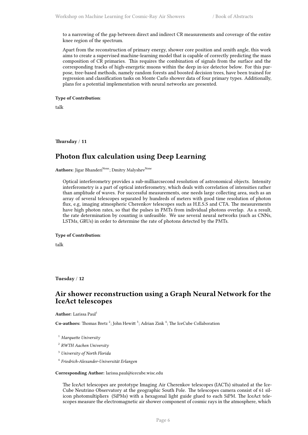to a narrowing of the gap between direct and indirect CR measurements and coverage of the entire knee region of the spectrum.

Apart from the reconstruction of primary energy, shower core position and zenith angle, this work aims to create a supervised machine-learning model that is capable of correctly predicting the mass composition of CR primaries. This requires the combination of signals from the surface and the corresponding tracks of high-energetic muons within the deep in-ice detector below. For this purpose, tree-based methods, namely random forests and boosted decision trees, have been trained for regression and classification tasks on Monte Carlo shower data of four primary types. Additionally, plans for a potential implementation with neural networks are presented.

**Type of Contribution**:

talk

<span id="page-9-0"></span>**Thursday** / **11**

## **Photon flux calculation using Deep Learning**

Authors: Jigar Bhanderi<sup>None</sup>; Dmitry Malyshev<sup>None</sup>

Optical interferometry provides a sub-milliarcsecond resolution of astronomical objects. Intensity interferometry is a part of optical interferometry, which deals with correlation of intensities rather than amplitude of waves. For successful measurements, one needs large collecting area, such as an array of several telescopes separated by hundreds of meters with good time resolution of photon flux, e.g, imaging atmospheric Cherenkov telescopes such as H.E.S.S and CTA. The measurements have high photon rates, so that the pulses in PMTs from individual photons overlap. As a result, the rate determination by counting is unfeasible. We use several neural networks (such as CNNs, LSTMs, GRUs) in order to determine the rate of photons detected by the PMTs.

#### **Type of Contribution**:

talk

<span id="page-9-1"></span>**Tuesday** / **12**

## **Air shower reconstruction using a Graph Neural Network for the IceAct telescopes**

**Author:** Larissa Paul<sup>1</sup>

Co-authors: Thomas Bretz<sup>2</sup>; John Hewitt<sup>3</sup>; Adrian Zink<sup>4</sup>; The IceCube Collaboration

- <sup>1</sup> *Marquette University*
- 2 *RWTH Aachen University*
- <sup>3</sup> *University of North Florida*
- 4 *Friedrich-Alexander-Universität Erlangen*

#### **Corresponding Author:** larissa.paul@icecube.wisc.edu

The IceAct telescopes are prototype Imaging Air Cherenkov telescopes (IACTs) situated at the Ice-Cube Neutrino Observatory at the geographic South Pole. The telescopes camera consist of 61 silicon photomultipliers (SiPMs) with a hexagonal light guide glued to each SiPM. The IceAct telescopes measure the electromagnetic air shower component of cosmic rays in the atmosphere, which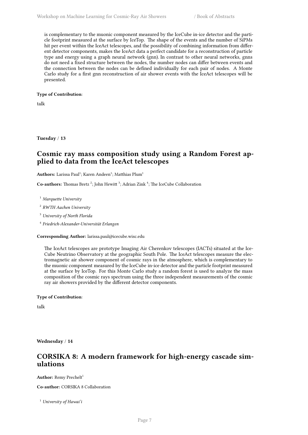is complementary to the muonic component measured by the IceCube in-ice detector and the particle footprint measured at the surface by IceTop. The shape of the events and the number of SiPMs hit per event within the IceAct telescopes, and the possibility of combining information from different detector components, makes the IceAct data a perfect candidate for a reconstruction of particle type and energy using a graph neural network (gnn). In contrast to other neural networks, gnns do not need a fixed structure between the nodes, the number nodes can differ between events and the connection between the nodes can be defined individually for each pair of nodes. A Monte Carlo study for a first gnn reconstruction of air shower events with the IceAct telescopes will be presented.

#### **Type of Contribution**:

talk

<span id="page-10-0"></span>**Tuesday** / **13**

## **Cosmic ray mass composition study using a Random Forest applied to data from the IceAct telescopes**

 $\mathbf{Authors}\text{: Larissa Paul}^1; \text{Karen Andeen}^1; \text{Matthias Plum}^1$ 

Co-authors: Thomas Bretz<sup>2</sup>; John Hewitt<sup>3</sup>; Adrian Zink<sup>4</sup>; The IceCube Collaboration

<sup>1</sup> *Marquette University*

2 *RWTH Aachen University*

<sup>3</sup> *University of North Florida*

4 *Friedrich-Alexander-Universität Erlangen*

**Corresponding Author:** larissa.paul@icecube.wisc.edu

The IceAct telescopes are prototype Imaging Air Cherenkov telescopes (IACTs) situated at the Ice-Cube Neutrino Observatory at the geographic South Pole. The IceAct telescopes measure the electromagnetic air shower component of cosmic rays in the atmosphere, which is complementary to the muonic component measured by the IceCube in-ice detector and the particle footprint measured at the surface by IceTop. For this Monte Carlo study a random forest is used to analyze the mass composition of the cosmic rays spectrum using the three independent measurements of the cosmic ray air showers provided by the different detector components.

**Type of Contribution**:

talk

<span id="page-10-1"></span>**Wednesday** / **14**

## **CORSIKA 8: A modern framework for high-energy cascade simulations**

**Author:** Remy Prechelt<sup>1</sup>

**Co-author:** CORSIKA 8 Collaboration

<sup>1</sup> *University of Hawai'i*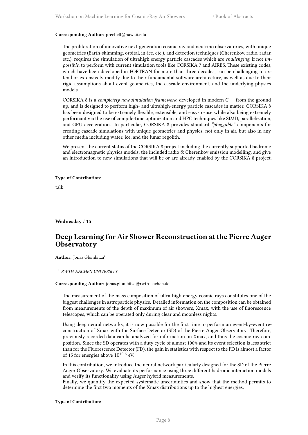#### **Corresponding Author:** prechelt@hawaii.edu

The proliferation of innovative next-generation cosmic ray and neutrino observatories, with unique geometries (Earth-skimming, orbital, in-ice, etc.), and detection techniques (Cherenkov, radio, radar, etc.), requires the simulation of ultrahigh energy particle cascades which are *challenging*, if not *impossible*, to perform with current simulation tools like CORSIKA 7 and AIRES. These existing codes, which have been developed in FORTRAN for more than three decades, can be challenging to extend or extensively modify due to their fundamental software architecture, as well as due to their rigid assumptions about event geometries, the cascade environment, and the underlying physics models.

CORSIKA 8 is a *completely new simulation framework*, developed in modern C++ from the ground up, and is designed to perform high- and ultrahigh-energy particle cascades in matter. CORSIKA 8 has been designed to be extremely flexible, extensible, and easy-to-use while also being extremely performant via the use of compile-time optimization and HPC techniques like SIMD, parallelization, and GPU acceleration. In particular, CORSIKA 8 provides standard *"pluggable"* components for creating cascade simulations with unique geometries and physics, not only in air, but also in any other media including water, ice, and the lunar regolith.

We present the current status of the CORSIKA 8 project including the currently supported hadronic and electromagnetic physics models, the included radio & Cherenkov emission modelling, and give an introduction to new simulations that will be or are already enabled by the CORSIKA 8 project.

#### **Type of Contribution**:

talk

#### <span id="page-11-0"></span>**Wednesday** / **15**

## **Deep Learning for Air Shower Reconstruction at the Pierre Auger Observatory**

**Author:** Jonas Glombitza<sup>1</sup>

1 *RWTH AACHEN UNIVERSITY*

#### **Corresponding Author:** jonas.glombitza@rwth-aachen.de

The measurement of the mass composition of ultra-high energy cosmic rays constitutes one of the biggest challenges in astroparticle physics. Detailed information on the composition can be obtained from measurements of the depth of maximum of air showers, Xmax, with the use of fluorescence telescopes, which can be operated only during clear and moonless nights.

Using deep neural networks, it is now possible for the first time to perform an event-by-event reconstruction of Xmax with the Surface Detector (SD) of the Pierre Auger Observatory. Therefore, previously recorded data can be analyzed for information on Xmax, and thus the cosmic-ray composition. Since the SD operates with a duty cycle of almost 100% and its event selection is less strict than for the Fluorescence Detector (FD), the gain in statistics with respect to the FD is almost a factor of 15 for energies above  $10^{19.5}$  eV.

In this contribution, we introduce the neural network particularly designed for the SD of the Pierre Auger Observatory. We evaluate its performance using three different hadronic interaction models and verify its functionality using Auger hybrid measurements.

Finally, we quantify the expected systematic uncertainties and show that the method permits to determine the first two moments of the Xmax distributions up to the highest energies.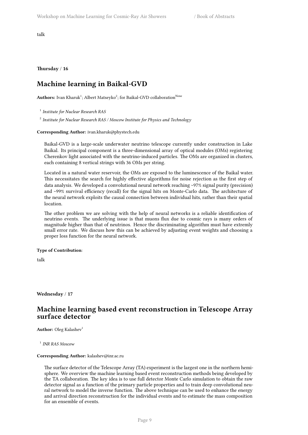talk

<span id="page-12-0"></span>**Thursday** / **16**

## **Machine learning in Baikal-GVD**

 $\mathbf{Authors:}$  Ivan Kharuk $^1$ ; Albert Matseyko $^2$ ; for Baikal-GVD collaboration $^\mathrm{None}$ 

1 *Institute for Nuclear Research RAS*

2 *Institute for Nuclear Research RAS / Moscow Institute for Physics and Technology*

#### **Corresponding Author:** ivan.kharuk@phystech.edu

Baikal-GVD is a large-scale underwater neutrino telescope currently under construction in Lake Baikal. Its principal component is a three-dimensional array of optical modules (OMs) registering Cherenkov light associated with the neutrino-induced particles. The OMs are organized in clusters, each containing 8 vertical strings with 36 OMs per string.

Located in a natural water reservoir, the OMs are exposed to the luminescence of the Baikal water. This necessitates the search for highly effective algorithms for noise rejection as the first step of data analysis. We developed a convolutional neural network reaching ~97% signal purity (precision) and ~99% survival efficiency (recall) for the signal hits on Monte-Carlo data. The architecture of the neural network exploits the causal connection between individual hits, rather than their spatial location.

The other problem we are solving with the help of neural networks is a reliable identification of neutrino events. The underlying issue is that muons flux due to cosmic rays is many orders of magnitude higher than that of neutrinos. Hence the discriminating algorithm must have extremly small error rate. We discuss how this can be achieved by adjusting event weights and choosing a proper loss function for the neural network.

#### **Type of Contribution**:

talk

<span id="page-12-1"></span>**Wednesday** / **17**

## **Machine learning based event reconstruction in Telescope Array surface detector**

**Author:** Oleg Kalashev<sup>1</sup>

<sup>1</sup> INR RAS Moscow

#### **Corresponding Author:** kalashev@inr.ac.ru

The surface detector of the Telescope Array (TA) experiment is the largest one in the northern hemisphere. We overview the machine learning based event reconstruction methods being developed by the TA collaboration. The key idea is to use full detector Monte Carlo simulation to obtain the raw detector signal as a function of the primary particle properties and to train deep convolutional neural network to model the inverse function. The above technique can be used to enhance the energy and arrival direction reconstruction for the individual events and to estimate the mass composition for an ensemble of events.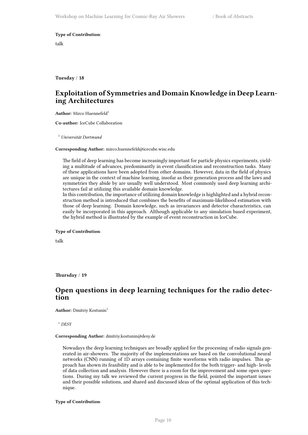#### **Type of Contribution**:

talk

<span id="page-13-0"></span>**Tuesday** / **18**

## **Exploitation of Symmetries and Domain Knowledge in Deep Learning Architectures**

**Author:** Mirco Huennefeld<sup>1</sup>

**Co-author:** IceCube Collaboration

<sup>1</sup> *Universität Dortmund*

#### **Corresponding Author:** mirco.huennefeld@icecube.wisc.edu

The field of deep learning has become increasingly important for particle physics experiments, yielding a multitude of advances, predominantly in event classification and reconstruction tasks. Many of these applications have been adopted from other domains. However, data in the field of physics are unique in the context of machine learning, insofar as their generation process and the laws and symmetries they abide by are usually well understood. Most commonly used deep learning architectures fail at utilizing this available domain knowledge.

In this contribution, the importance of utilizing domain knowledge is highlighted and a hybrid reconstruction method is introduced that combines the benefits of maximum-likelihood estimation with those of deep learning. Domain knowledge, such as invariances and detector characteristics, can easily be incorporated in this approach. Although applicable to any simulation based experiment, the hybrid method is illustrated by the example of event reconstruction in IceCube.

#### **Type of Contribution**:

talk

<span id="page-13-1"></span>**Thursday** / **19**

## **Open questions in deep learning techniques for the radio detection**

**Author:** Dmitriy Kostunin<sup>1</sup>

<sup>1</sup> *DESY*

#### **Corresponding Author:** dmitriy.kostunin@desy.de

Nowadays the deep learning techniques are broadly applied for the processing of radio signals generated in air-showers. The majority of the implementations are based on the convolutional neural networks (CNN) running of 1D arrays containing finite waveforms with radio impulses. This approach has shown its feasibility and is able to be implemented for the both trigger- and high- levels of data collection and analysis. However there is a room for the improvement and some open questions. During my talk we reviewed the current progress in the field, pointed the important issues and their possible solutions, and shared and discussed ideas of the optimal application of this technique.

**Type of Contribution**: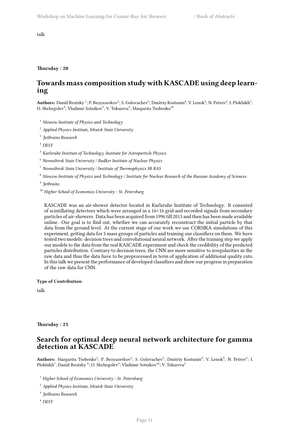talk

#### **Thursday** / **20**

## **Towards mass composition study with KASCADE using deep learning**

 $\bf{Authors:}$  Daniil Reutsky  $^1;$  P. Bezyazeekov $^2;$  S. Golovachev $^3;$  Dmitriy Kostunin $^4;$  V. Lenok $^5;$  N. Petrov $^6;$  I. Plokhikh $^7;$ O. Shchegolev $\delta$ ; Vladimir Sotnikov $\delta$ ; V. Tokareva $^5$ ; Margarita Tsobenko $^{10}$ 

<sup>1</sup> *Moscow Institute of Physics and Technology*

<sup>2</sup> *Applied Physics Institute, Irkutsk State University*

3 *JetBrains Research*

<sup>4</sup> *DESY*

<sup>5</sup> *Karlsruhe Institute of Technology, Institute for Astroparticle Physics*

<sup>6</sup> *Novosibirsk State University / Budker Institute of Nuclear Physics*

<sup>7</sup> *Novosibirsk State University / Institute of Thermophysics SB RAS*

<sup>8</sup> *Moscow Institute of Physics and Technology / Institute for Nuclear Research of the Russian Academy of Sciences*

9 *Jetbrains*

<sup>10</sup> *Higher School of Economics University - St. Petersburg*

KASCADE was an air-shower detector located in Karlsruhe Institute of Technology. It consisted of scintillating detectors which were arranged in a 16×16 grid and recorded signals from secondary particles of air-showers. Data has been acquired from 1996 till 2013 and then has been made available online. Our goal is to find out, whether we can accurately reconstruct the initial particle by that data from the ground level. At the current stage of our work we use CORSIKA simulations of this experiment, getting data for 5 mass groups of particles and training our classifiers on them. We have tested two models: decision trees and convolutional neural network. After the training step we apply our models to the data from the real KASCADE experiment and check the credibility of the predicted particles distribution. Contrary to decision trees, the CNN are more sensitive to irregularities in the raw data and thus the data have to be preprocessed in term of application of additional quality cuts. In this talk we present the performance of developed classifiers and show our progress in preparation of the raw data for CNN.

**Type of Contribution**:

talk

<span id="page-14-0"></span>**Thursday** / **21**

## **Search for optimal deep neural network architecture for gamma detection at KASCADE**

Authors: Margarita Tsobenko<sup>1</sup>; P. Bezyazeekov<sup>2</sup>; S. Golovachev<sup>3</sup>; Dmitriy Kostunin<sup>4</sup>; V. Lenok<sup>5</sup>; N. Petrov<sup>6</sup>; I. Plokhikh<sup>7</sup>; Daniil Reutsky <sup>8</sup>; O. Shchegolev<sup>9</sup>; Vladimir Sotnikov<sup>10</sup>; V. Tokareva<sup>5</sup>

<sup>1</sup> *Higher School of Economics University - St. Petersburg*

<sup>2</sup> *Applied Physics Institute, Irkutsk State University*

3 *JetBrains Research*

<sup>4</sup> *DESY*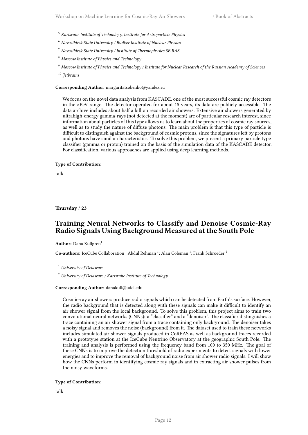- <sup>5</sup> *Karlsruhe Institute of Technology, Institute for Astroparticle Physics*
- <sup>6</sup> *Novosibirsk State University / Budker Institute of Nuclear Physics*
- <sup>7</sup> *Novosibirsk State University / Institute of Thermophysics SB RAS*
- <sup>8</sup> *Moscow Institute of Physics and Technology*

<sup>9</sup> *Moscow Institute of Physics and Technology / Institute for Nuclear Research of the Russian Academy of Sciences* <sup>10</sup> *Jetbrains*

#### **Corresponding Author:** margaritatsobenko@yandex.ru

We focus on the novel data analysis from KASCADE, one of the most successful cosmic ray detectors in the >PeV range. The detector operated for about 15 years, its data are publicly accessible. The data archive includes about half a billion recorded air showers. Extensive air showers generated by ultrahigh-energy gamma-rays (not detected at the moment) are of particular research interest, since information about particles of this type allows us to learn about the properties of cosmic ray sources, as well as to study the nature of diffuse photons. The main problem is that this type of particle is difficult to distinguish against the background of cosmic protons, since the signatures left by protons and photons have similar characteristics. To solve this problem, we present a primary particle type classifier (gamma or proton) trained on the basis of the simulation data of the KASCADE detector. For classification, various approaches are applied using deep learning methods.

#### **Type of Contribution**:

talk

<span id="page-15-0"></span>**Thursday** / **23**

## **Training Neural Networks to Classify and Denoise Cosmic-Ray Radio Signals Using Background Measured at the South Pole**

#### **Author:** Dana Kullgren<sup>1</sup>

Co-authors: IceCube Collaboration ; Abdul Rehman<sup>1</sup>; Alan Coleman<sup>1</sup>; Frank Schroeder<sup>2</sup>

<sup>1</sup> *University of Delaware*

<sup>2</sup> *University of Delaware / Karlsruhe Institute of Technology*

#### **Corresponding Author:** danakull@udel.edu

Cosmic-ray air showers produce radio signals which can be detected from Earth's surface. However, the radio background that is detected along with these signals can make it difficult to identify an air shower signal from the local background. To solve this problem, this project aims to train two convolutional neural networks (CNNs): a "classifier" and a "denoiser". The classifier distinguishes a trace containing an air shower signal from a trace containing only background. The denoiser takes a noisy signal and removes the noise (background) from it. The dataset used to train these networks includes simulated air shower signals produced in CoREAS as well as background traces recorded with a prototype station at the IceCube Neutrino Observatory at the geographic South Pole. The training and analysis is performed using the frequency band from 100 to 350 MHz. The goal of these CNNs is to improve the detection threshold of radio experiments to detect signals with lower energies and to improve the removal of background noise from air shower radio signals. I will show how the CNNs perform in identifying cosmic ray signals and in extracting air shower pulses from the noisy waveforms.

#### **Type of Contribution**:

talk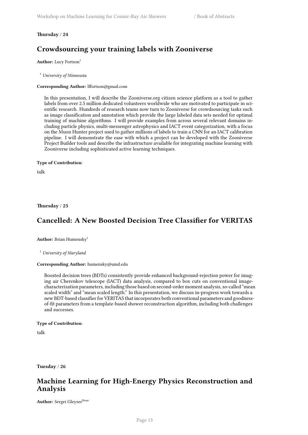#### <span id="page-16-0"></span>**Thursday** / **24**

## **Crowdsourcing your training labels with Zooniverse**

Author: Lucy Fortson<sup>1</sup>

<sup>1</sup> *University of Minnesota*

#### **Corresponding Author:** lffortson@gmail.com

In this presentation, I will describe the Zooniverse.org citizen science platform as a tool to gather labels from over 2.5 million dedicated volunteers worldwide who are motivated to participate in scientific research. Hundreds of research teams now turn to Zooniverse for crowdsourcing tasks such as image classification and annotation which provide the large labeled data sets needed for optimal training of machine algorithms. I will provide examples from across several relevant domains including particle physics, multi-messenger astrophysics and IACT event categorization, with a focus on the Muon Hunter project used to gather millions of labels to train a CNN for an IACT calibration pipeline. I will demonstrate the ease with which a project can be developed with the Zooniverse Project Builder tools and describe the infrastructure available for integrating machine learning with Zooniverse including sophisticated active learning techniques.

#### **Type of Contribution**:

talk

<span id="page-16-1"></span>**Thursday** / **25**

## **Cancelled: A New Boosted Decision Tree Classifier for VERITAS**

Author: Brian Humensky<sup>1</sup>

<sup>1</sup> *University of Maryland*

#### **Corresponding Author:** humensky@umd.edu

Boosted decision trees (BDTs) consistently provide enhanced background-rejection power for imaging air Cherenkov telescope (IACT) data analysis, compared to box cuts on conventional imagecharacterization parameters, including those based on second-order moment analysis, so-called "mean scaled width" and "mean scaled length." In this presentation, we discuss in-progress work towards a new BDT-based classifier for VERITAS that incorporates both conventional parameters and goodnessof-fit parameters from a template-based shower reconstruction algorithm, including both challenges and successes.

#### **Type of Contribution**:

talk

<span id="page-16-2"></span>**Tuesday** / **26**

## **Machine Learning for High-Energy Physics Reconstruction and Analysis**

Author: Sergei Gleyzer<sup>None</sup>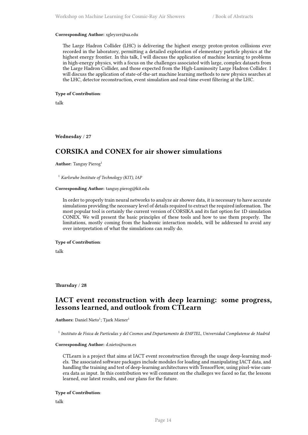#### **Corresponding Author:** sgleyzer@ua.edu

The Large Hadron Collider (LHC) is delivering the highest energy proton-proton collisions ever recorded in the laboratory, permitting a detailed exploration of elementary particle physics at the highest energy frontier. In this talk, I will discuss the application of machine learning to problems in high-energy physics, with a focus on the challenges associated with large, complex datasets from the Large Hadron Collider, and those expected from the High-Luminosity Large Hadron Collider. I will discuss the application of state-of-the-art machine learning methods to new physics searches at the LHC, detector reconstruction, event simulation and real-time event filtering at the LHC.

#### **Type of Contribution**:

talk

<span id="page-17-0"></span>**Wednesday** / **27**

## **CORSIKA and CONEX for air shower simulations**

**Author:** Tanguy Pierog<sup>1</sup>

<sup>1</sup> *Karlsruhe Institute of Technology (KIT), IAP*

#### **Corresponding Author:** tanguy.pierog@kit.edu

In order to properly train neural networks to analyze air shower data, it is necessary to have accurate simulations providing the necessary level of details required to extract the required information. The most popular tool is certainly the current version of CORSIKA and its fast option for 1D simulation CONEX. We will present the basic principles of these tools and how to use them properly. The limitations, mostly coming from the hadronic interaction models, will be addressed to avoid any over interpretation of what the simulations can really do.

#### **Type of Contribution**:

talk

<span id="page-17-1"></span>**Thursday** / **28**

## **IACT event reconstruction with deep learning: some progress, lessons learned, and outlook from CTLearn**

**Authors:** Daniel Nieto<sup>1</sup>; Tjark Miener<sup>1</sup>

1 *Instituto de Física de Partículas y del Cosmos and Departamento de EMFTEL, Universidad Complutense de Madrid*

#### **Corresponding Author:** d.nieto@ucm.es

CTLearn is a project that aims at IACT event reconstruction through the usage deep-learning models. The associated software packages include modules for loading and manipulating IACT data, and handling the training and test of deep-learning architectures with TensorFlow, using pixel-wise camera data as input. In this contribution we will comment on the challeges we faced so far, the lessons learned, our latest results, and our plans for the future.

#### **Type of Contribution**:

talk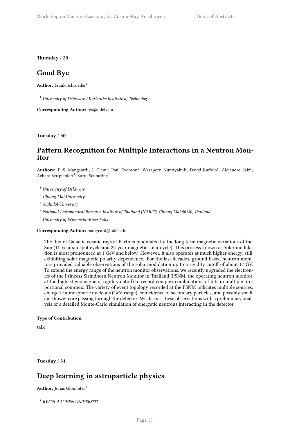<span id="page-18-0"></span>**Thursday** / **29**

### **Good Bye**

Author: Frank Schroeder<sup>1</sup>

<sup>1</sup> *University of Delaware / Karlsruhe Institute of Technology*

**Corresponding Author:** fgs@udel.edu

<span id="page-18-1"></span>**Tuesday** / **30**

## **Pattern Recognition for Multiple Interactions in a Neutron Monitor**

Authors: P.-S. Mangeard<sup>1</sup>; J. Clem<sup>1</sup>; Paul Evenson<sup>1</sup>; Waraporn Nuntiyakul<sup>2</sup>; David Ruffolo<sup>3</sup>; Alejandro Sáiz<sup>3</sup>; Achara Seripienlert<sup>4</sup>; Suruj Seunarine<sup>5</sup>

<sup>1</sup> *University of Delaware*

<sup>2</sup> *Chiang Mai University*

<sup>3</sup> *Mahidol University*

<sup>4</sup> *National Astronomical Research Institute of Thailand (NARIT), Chiang Mai 50180, Thailand*

<sup>5</sup> *University of Wisconsin–River Falls*

**Corresponding Author:** mangeard@udel.edu

The flux of Galactic cosmic rays at Earth is modulated by the long term magnetic variations of the Sun (11-year sunspot cycle and 22-year magnetic solar cycle). This process known as Solar modulation is most pronounced at 1 GeV and below. However, it also operates at much higher energy, still exhibiting solar magnetic polarity dependence. For the last decades, ground-based neutron monitors provided valuable observations of the solar modulation up to a rigidity cutoff of about 17 GV. To extend the energy range of the neutron monitor observations, we recently upgraded the electronics of the Princess Sirindhorn Neutron Monitor in Thailand (PSNM, the operating neutron monitor at the highest geomagnetic rigidity cutof) to record complex combinations of hits in multiple proportional counters. The variety of event topology recorded at the PSNM indicates multiple sources: energetic atmospheric nucleons (GeV-range), coincidence of secondary particles, and possibly small air-shower core passing through the detector. We discuss these observations with a preliminary analysis of a detailed Monte-Carlo simulation of energetic neutrons interacting in the detector.

#### **Type of Contribution**:

talk

<span id="page-18-2"></span>**Tuesday** / **31**

## **Deep learning in astroparticle physics**

Author: Jonas Glombitza<sup>1</sup>

1 *RWTH AACHEN UNIVERSITY*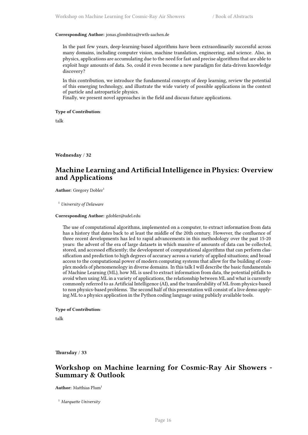#### **Corresponding Author:** jonas.glombitza@rwth-aachen.de

In the past few years, deep-learning-based algorithms have been extraordinarily successful across many domains, including computer vision, machine translation, engineering, and science. Also, in physics, applications are accumulating due to the need for fast and precise algorithms that are able to exploit huge amounts of data. So, could it even become a new paradigm for data-driven knowledge discovery?

In this contribution, we introduce the fundamental concepts of deep learning, review the potential of this emerging technology, and illustrate the wide variety of possible applications in the context of particle and astroparticle physics.

Finally, we present novel approaches in the field and discuss future applications.

#### **Type of Contribution**:

talk

<span id="page-19-0"></span>**Wednesday** / **32**

## **Machine Learning and Artificial Intelligence in Physics: Overview and Applications**

Author: Gregory Dobler<sup>1</sup>

<sup>1</sup> *University of Delaware*

#### **Corresponding Author:** gdobler@udel.edu

The use of computational algorithms, implemented on a computer, to extract information from data has a history that dates back to at least the middle of the 20th century. However, the confluence of three recent developments has led to rapid advancements in this methodology over the past 15-20 years: the advent of the era of large datasets in which massive of amounts of data can be collected, stored, and accessed efficiently; the development of computational algorithms that can perform classification and prediction to high degrees of accuracy across a variety of applied situations; and broad access to the computational power of modern computing systems that allow for the building of complex models of phenomenology in diverse domains. In this talk I will describe the basic fundamentals of Machine Learning (ML), how ML is used to extract information from data, the potential pitfalls to avoid when using ML in a variety of applications, the relationship between ML and what is currently commonly referred to as Artificial Intelligence (AI), and the transferability of ML from physics-based to non physics-based problems. The second half of this presentation will consist of a live demo applying ML to a physics application in the Python coding language using publicly available tools.

#### **Type of Contribution**:

talk

<span id="page-19-1"></span>**Thursday** / **33**

## **Workshop on Machine learning for Cosmic-Ray Air Showers - Summary & Outlook**

**Author:** Matthias Plum<sup>1</sup>

<sup>1</sup> *Marquette University*